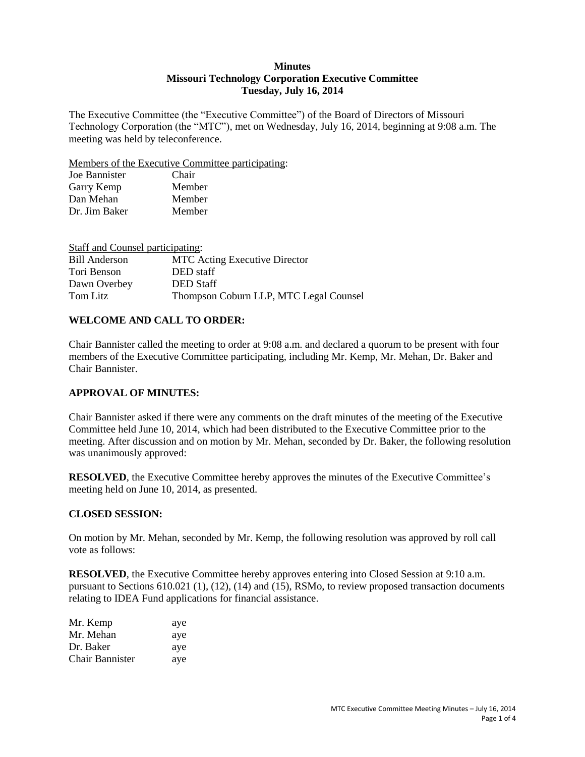#### **Minutes Missouri Technology Corporation Executive Committee Tuesday, July 16, 2014**

The Executive Committee (the "Executive Committee") of the Board of Directors of Missouri Technology Corporation (the "MTC"), met on Wednesday, July 16, 2014, beginning at 9:08 a.m. The meeting was held by teleconference.

Members of the Executive Committee participating:

| Joe Bannister | Chair  |
|---------------|--------|
| Garry Kemp    | Member |
| Dan Mehan     | Member |
| Dr. Jim Baker | Member |

| Staff and Counsel participating: |                                        |
|----------------------------------|----------------------------------------|
| Bill Anderson                    | <b>MTC</b> Acting Executive Director   |
| Tori Benson                      | DED staff                              |
| Dawn Overbey                     | <b>DED</b> Staff                       |
| Tom Litz                         | Thompson Coburn LLP, MTC Legal Counsel |

## **WELCOME AND CALL TO ORDER:**

Chair Bannister called the meeting to order at 9:08 a.m. and declared a quorum to be present with four members of the Executive Committee participating, including Mr. Kemp, Mr. Mehan, Dr. Baker and Chair Bannister.

#### **APPROVAL OF MINUTES:**

Chair Bannister asked if there were any comments on the draft minutes of the meeting of the Executive Committee held June 10, 2014, which had been distributed to the Executive Committee prior to the meeting. After discussion and on motion by Mr. Mehan, seconded by Dr. Baker, the following resolution was unanimously approved:

**RESOLVED**, the Executive Committee hereby approves the minutes of the Executive Committee's meeting held on June 10, 2014, as presented.

#### **CLOSED SESSION:**

On motion by Mr. Mehan, seconded by Mr. Kemp, the following resolution was approved by roll call vote as follows:

**RESOLVED**, the Executive Committee hereby approves entering into Closed Session at 9:10 a.m. pursuant to Sections 610.021 (1), (12), (14) and (15), RSMo, to review proposed transaction documents relating to IDEA Fund applications for financial assistance.

| Mr. Kemp               | aye |
|------------------------|-----|
| Mr. Mehan              | aye |
| Dr. Baker              | aye |
| <b>Chair Bannister</b> | aye |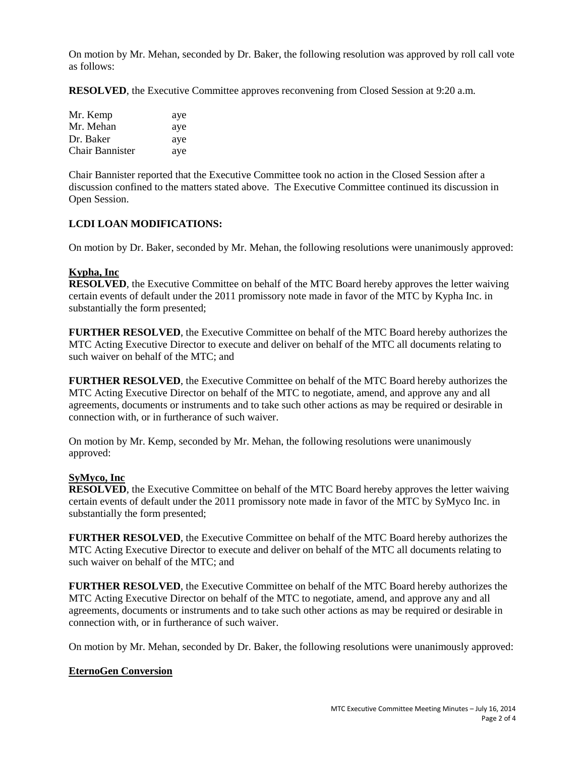On motion by Mr. Mehan, seconded by Dr. Baker, the following resolution was approved by roll call vote as follows:

**RESOLVED**, the Executive Committee approves reconvening from Closed Session at 9:20 a.m.

| Mr. Kemp               | aye |
|------------------------|-----|
| Mr. Mehan              | aye |
| Dr. Baker              | aye |
| <b>Chair Bannister</b> | aye |

Chair Bannister reported that the Executive Committee took no action in the Closed Session after a discussion confined to the matters stated above. The Executive Committee continued its discussion in Open Session.

## **LCDI LOAN MODIFICATIONS:**

On motion by Dr. Baker, seconded by Mr. Mehan, the following resolutions were unanimously approved:

#### **Kypha, Inc**

**RESOLVED**, the Executive Committee on behalf of the MTC Board hereby approves the letter waiving certain events of default under the 2011 promissory note made in favor of the MTC by Kypha Inc. in substantially the form presented;

**FURTHER RESOLVED**, the Executive Committee on behalf of the MTC Board hereby authorizes the MTC Acting Executive Director to execute and deliver on behalf of the MTC all documents relating to such waiver on behalf of the MTC; and

**FURTHER RESOLVED**, the Executive Committee on behalf of the MTC Board hereby authorizes the MTC Acting Executive Director on behalf of the MTC to negotiate, amend, and approve any and all agreements, documents or instruments and to take such other actions as may be required or desirable in connection with, or in furtherance of such waiver.

On motion by Mr. Kemp, seconded by Mr. Mehan, the following resolutions were unanimously approved:

#### **SyMyco, Inc**

**RESOLVED**, the Executive Committee on behalf of the MTC Board hereby approves the letter waiving certain events of default under the 2011 promissory note made in favor of the MTC by SyMyco Inc. in substantially the form presented;

**FURTHER RESOLVED**, the Executive Committee on behalf of the MTC Board hereby authorizes the MTC Acting Executive Director to execute and deliver on behalf of the MTC all documents relating to such waiver on behalf of the MTC; and

**FURTHER RESOLVED**, the Executive Committee on behalf of the MTC Board hereby authorizes the MTC Acting Executive Director on behalf of the MTC to negotiate, amend, and approve any and all agreements, documents or instruments and to take such other actions as may be required or desirable in connection with, or in furtherance of such waiver.

On motion by Mr. Mehan, seconded by Dr. Baker, the following resolutions were unanimously approved:

#### **EternoGen Conversion**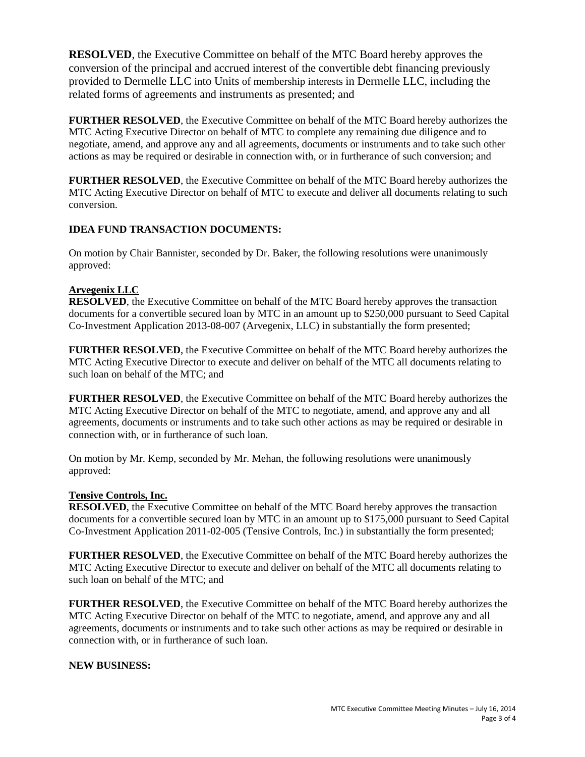**RESOLVED**, the Executive Committee on behalf of the MTC Board hereby approves the conversion of the principal and accrued interest of the convertible debt financing previously provided to Dermelle LLC into Units of membership interests in Dermelle LLC, including the related forms of agreements and instruments as presented; and

**FURTHER RESOLVED**, the Executive Committee on behalf of the MTC Board hereby authorizes the MTC Acting Executive Director on behalf of MTC to complete any remaining due diligence and to negotiate, amend, and approve any and all agreements, documents or instruments and to take such other actions as may be required or desirable in connection with, or in furtherance of such conversion; and

**FURTHER RESOLVED**, the Executive Committee on behalf of the MTC Board hereby authorizes the MTC Acting Executive Director on behalf of MTC to execute and deliver all documents relating to such conversion.

# **IDEA FUND TRANSACTION DOCUMENTS:**

On motion by Chair Bannister, seconded by Dr. Baker, the following resolutions were unanimously approved:

#### **Arvegenix LLC**

**RESOLVED**, the Executive Committee on behalf of the MTC Board hereby approves the transaction documents for a convertible secured loan by MTC in an amount up to \$250,000 pursuant to Seed Capital Co-Investment Application 2013-08-007 (Arvegenix, LLC) in substantially the form presented;

**FURTHER RESOLVED**, the Executive Committee on behalf of the MTC Board hereby authorizes the MTC Acting Executive Director to execute and deliver on behalf of the MTC all documents relating to such loan on behalf of the MTC; and

**FURTHER RESOLVED**, the Executive Committee on behalf of the MTC Board hereby authorizes the MTC Acting Executive Director on behalf of the MTC to negotiate, amend, and approve any and all agreements, documents or instruments and to take such other actions as may be required or desirable in connection with, or in furtherance of such loan.

On motion by Mr. Kemp, seconded by Mr. Mehan, the following resolutions were unanimously approved:

### **Tensive Controls, Inc.**

**RESOLVED**, the Executive Committee on behalf of the MTC Board hereby approves the transaction documents for a convertible secured loan by MTC in an amount up to \$175,000 pursuant to Seed Capital Co-Investment Application 2011-02-005 (Tensive Controls, Inc.) in substantially the form presented;

**FURTHER RESOLVED**, the Executive Committee on behalf of the MTC Board hereby authorizes the MTC Acting Executive Director to execute and deliver on behalf of the MTC all documents relating to such loan on behalf of the MTC; and

**FURTHER RESOLVED**, the Executive Committee on behalf of the MTC Board hereby authorizes the MTC Acting Executive Director on behalf of the MTC to negotiate, amend, and approve any and all agreements, documents or instruments and to take such other actions as may be required or desirable in connection with, or in furtherance of such loan.

#### **NEW BUSINESS:**